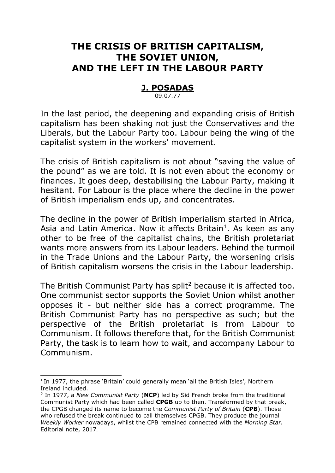# **THE CRISIS OF BRITISH CAPITALISM, THE SOVIET UNION, AND THE LEFT IN THE LABOUR PARTY**

# **J. POSADAS**

09.07.77

In the last period, the deepening and expanding crisis of British capitalism has been shaking not just the Conservatives and the Liberals, but the Labour Party too. Labour being the wing of the capitalist system in the workers' movement.

The crisis of British capitalism is not about "saving the value of the pound" as we are told. It is not even about the economy or finances. It goes deep, destabilising the Labour Party, making it hesitant. For Labour is the place where the decline in the power of British imperialism ends up, and concentrates.

The decline in the power of British imperialism started in Africa, Asia and Latin America. Now it affects Britain<sup>1</sup>. As keen as any other to be free of the capitalist chains, the British proletariat wants more answers from its Labour leaders. Behind the turmoil in the Trade Unions and the Labour Party, the worsening crisis of British capitalism worsens the crisis in the Labour leadership.

The British Communist Party has split<sup>2</sup> because it is affected too. One communist sector supports the Soviet Union whilst another opposes it - but neither side has a correct programme. The British Communist Party has no perspective as such; but the perspective of the British proletariat is from Labour to Communism. It follows therefore that, for the British Communist Party, the task is to learn how to wait, and accompany Labour to Communism.

-

<sup>&</sup>lt;sup>1</sup> In 1977, the phrase 'Britain' could generally mean 'all the British Isles', Northern Ireland included.

<sup>2</sup> In 1977, a *New Communist Party* (**NCP**) led by Sid French broke from the traditional Communist Party which had been called **CPGB** up to then. Transformed by that break, the CPGB changed its name to become the *Communist Party of Britain* (**CPB**). Those who refused the break continued to call themselves CPGB. They produce the journal *Weekly Worker* nowadays, whilst the CPB remained connected with the *Morning Star.*  Editorial note, 2017.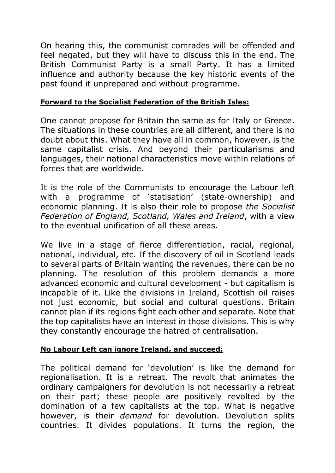On hearing this, the communist comrades will be offended and feel negated, but they will have to discuss this in the end. The British Communist Party is a small Party. It has a limited influence and authority because the key historic events of the past found it unprepared and without programme.

## **Forward to the Socialist Federation of the British Isles:**

One cannot propose for Britain the same as for Italy or Greece. The situations in these countries are all different, and there is no doubt about this. What they have all in common, however, is the same capitalist crisis. And beyond their particularisms and languages, their national characteristics move within relations of forces that are worldwide.

It is the role of the Communists to encourage the Labour left with a programme of 'statisation' (state-ownership) and economic planning. It is also their role to propose *the Socialist Federation of England, Scotland, Wales and Ireland*, with a view to the eventual unification of all these areas.

We live in a stage of fierce differentiation, racial, regional, national, individual, etc. If the discovery of oil in Scotland leads to several parts of Britain wanting the revenues, there can be no planning. The resolution of this problem demands a more advanced economic and cultural development - but capitalism is incapable of it. Like the divisions in Ireland, Scottish oil raises not just economic, but social and cultural questions. Britain cannot plan if its regions fight each other and separate. Note that the top capitalists have an interest in those divisions. This is why they constantly encourage the hatred of centralisation.

## **No Labour Left can ignore Ireland, and succeed:**

The political demand for 'devolution' is like the demand for regionalisation. It is a retreat. The revolt that animates the ordinary campaigners for devolution is not necessarily a retreat on their part; these people are positively revolted by the domination of a few capitalists at the top. What is negative however, is their *demand* for devolution. Devolution splits countries. It divides populations. It turns the region, the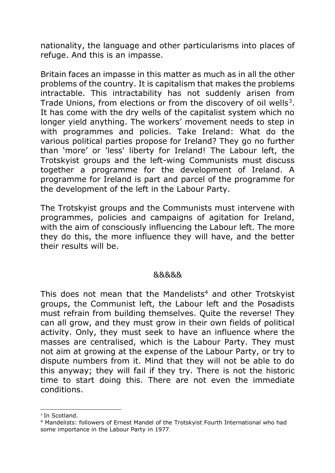nationality, the language and other particularisms into places of refuge. And this is an impasse.

Britain faces an impasse in this matter as much as in all the other problems of the country. It is capitalism that makes the problems intractable. This intractability has not suddenly arisen from Trade Unions, from elections or from the discovery of oil wells<sup>3</sup>. It has come with the dry wells of the capitalist system which no longer yield anything. The workers' movement needs to step in with programmes and policies. Take Ireland: What do the various political parties propose for Ireland? They go no further than 'more' or 'less' liberty for Ireland! The Labour left, the Trotskyist groups and the left-wing Communists must discuss together a programme for the development of Ireland. A programme for Ireland is part and parcel of the programme for the development of the left in the Labour Party.

The Trotskyist groups and the Communists must intervene with programmes, policies and campaigns of agitation for Ireland, with the aim of consciously influencing the Labour left. The more they do this, the more influence they will have, and the better their results will be.

#### &&&&&

This does not mean that the Mandelists<sup>4</sup> and other Trotskyist groups, the Communist left, the Labour left and the Posadists must refrain from building themselves. Quite the reverse! They can all grow, and they must grow in their own fields of political activity. Only, they must seek to have an influence where the masses are centralised, which is the Labour Party. They must not aim at growing at the expense of the Labour Party, or try to dispute numbers from it. Mind that they will not be able to do this anyway; they will fail if they try. There is not the historic time to start doing this. There are not even the immediate conditions.

 $\overline{a}$ 

<sup>3</sup> In Scotland.

<sup>4</sup> Mandelists: followers of Ernest Mandel of the Trotskyist Fourth International who had some importance in the Labour Party in 1977.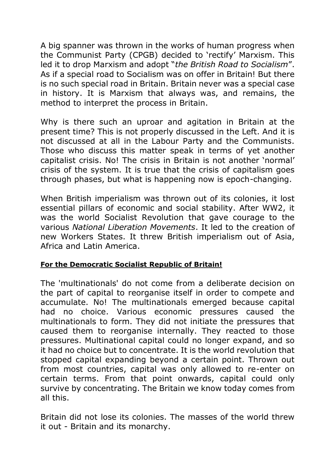A big spanner was thrown in the works of human progress when the Communist Party (CPGB) decided to 'rectify' Marxism. This led it to drop Marxism and adopt "*the British Road to Socialism*". As if a special road to Socialism was on offer in Britain! But there is no such special road in Britain. Britain never was a special case in history. It is Marxism that always was, and remains, the method to interpret the process in Britain.

Why is there such an uproar and agitation in Britain at the present time? This is not properly discussed in the Left. And it is not discussed at all in the Labour Party and the Communists. Those who discuss this matter speak in terms of yet another capitalist crisis. No! The crisis in Britain is not another 'normal' crisis of the system. It is true that the crisis of capitalism goes through phases, but what is happening now is epoch-changing.

When British imperialism was thrown out of its colonies, it lost essential pillars of economic and social stability. After WW2, it was the world Socialist Revolution that gave courage to the various *National Liberation Movements*. It led to the creation of new Workers States. It threw British imperialism out of Asia, Africa and Latin America.

# **For the Democratic Socialist Republic of Britain!**

The 'multinationals' do not come from a deliberate decision on the part of capital to reorganise itself in order to compete and accumulate. No! The multinationals emerged because capital had no choice. Various economic pressures caused the multinationals to form. They did not initiate the pressures that caused them to reorganise internally. They reacted to those pressures. Multinational capital could no longer expand, and so it had no choice but to concentrate. It is the world revolution that stopped capital expanding beyond a certain point. Thrown out from most countries, capital was only allowed to re-enter on certain terms. From that point onwards, capital could only survive by concentrating. The Britain we know today comes from all this.

Britain did not lose its colonies. The masses of the world threw it out - Britain and its monarchy.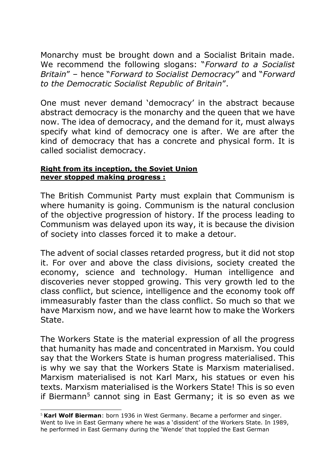Monarchy must be brought down and a Socialist Britain made. We recommend the following slogans: "*Forward to a Socialist Britain*" – hence "*Forward to Socialist Democracy*" and "*Forward to the Democratic Socialist Republic of Britain*".

One must never demand 'democracy' in the abstract because abstract democracy is the monarchy and the queen that we have now. The idea of democracy, and the demand for it, must always specify what kind of democracy one is after. We are after the kind of democracy that has a concrete and physical form. It is called socialist democracy.

#### **Right from its inception, the Soviet Union never stopped making progress :**

-

The British Communist Party must explain that Communism is where humanity is going. Communism is the natural conclusion of the objective progression of history. If the process leading to Communism was delayed upon its way, it is because the division of society into classes forced it to make a detour.

The advent of social classes retarded progress, but it did not stop it. For over and above the class divisions, society created the economy, science and technology. Human intelligence and discoveries never stopped growing. This very growth led to the class conflict, but science, intelligence and the economy took off immeasurably faster than the class conflict. So much so that we have Marxism now, and we have learnt how to make the Workers State.

The Workers State is the material expression of all the progress that humanity has made and concentrated in Marxism. You could say that the Workers State is human progress materialised. This is why we say that the Workers State is Marxism materialised. Marxism materialised is not Karl Marx, his statues or even his texts. Marxism materialised is the Workers State! This is so even if Biermann<sup>5</sup> cannot sing in East Germany; it is so even as we

<sup>5</sup> **Karl Wolf Bierman**: born 1936 in West Germany. Became a performer and singer. Went to live in East Germany where he was a 'dissident' of the Workers State. In 1989, he performed in East Germany during the 'Wende' that toppled the East German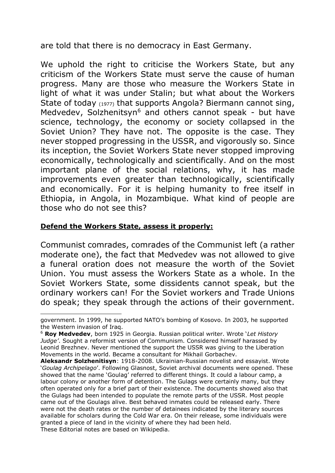are told that there is no democracy in East Germany.

We uphold the right to criticise the Workers State, but any criticism of the Workers State must serve the cause of human progress. Many are those who measure the Workers State in light of what it was under Stalin; but what about the Workers State of today (1977) that supports Angola? Biermann cannot sing, Medvedev, Solzhenitsyn<sup>6</sup> and others cannot speak - but have science, technology, the economy or society collapsed in the Soviet Union? They have not. The opposite is the case. They never stopped progressing in the USSR, and vigorously so. Since its inception, the Soviet Workers State never stopped improving economically, technologically and scientifically. And on the most important plane of the social relations, why, it has made improvements even greater than technologically, scientifically and economically. For it is helping humanity to free itself in Ethiopia, in Angola, in Mozambique. What kind of people are those who do not see this?

#### **Defend the Workers State, assess it properly:**

-

Communist comrades, comrades of the Communist left (a rather moderate one), the fact that Medvedev was not allowed to give a funeral oration does not measure the worth of the Soviet Union. You must assess the Workers State as a whole. In the Soviet Workers State, some dissidents cannot speak, but the ordinary workers can! For the Soviet workers and Trade Unions do speak; they speak through the actions of their government.

government. In 1999, he supported NATO's bombing of Kosovo. In 2003, he supported the Western invasion of Iraq.

<sup>6</sup> **Roy Medvedev**, born 1925 in Georgia. Russian political writer. Wrote '*Let History Judge'*. Sought a reformist version of Communism. Considered himself harassed by Leonid Brezhnev. Never mentioned the support the USSR was giving to the Liberation Movements in the world. Became a consultant for Mikhail Gorbachev.

**Aleksandr Solzhenitisyn**: 1918-2008. Ukrainian-Russian novelist and essayist. Wrote '*Goulag Archipelago*'. Following Glasnost, Soviet archival documents were opened. These showed that the name 'Goulag' referred to different things. It could a labour camp, a labour colony or another form of detention. The Gulags were certainly many, but they often operated only for a brief part of their existence. The documents showed also that the Gulags had been intended to populate the remote parts of the USSR. Most people came out of the Goulags alive. Best behaved inmates could be released early. There were not the death rates or the number of detainees indicated by the literary sources available for scholars during the Cold War era. On their release, some individuals were granted a piece of land in the vicinity of where they had been held. These Editorial notes are based on Wikipedia.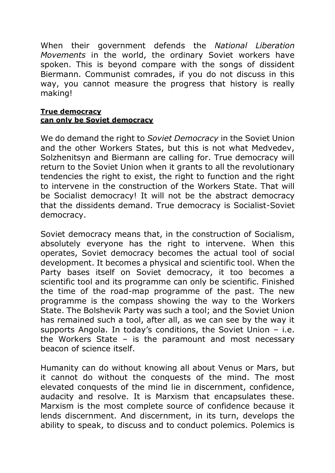When their government defends the *National Liberation Movements* in the world, the ordinary Soviet workers have spoken. This is beyond compare with the songs of dissident Biermann. Communist comrades, if you do not discuss in this way, you cannot measure the progress that history is really making!

#### **True democracy can only be Soviet democracy**

We do demand the right to *Soviet Democracy* in the Soviet Union and the other Workers States, but this is not what Medvedev, Solzhenitsyn and Biermann are calling for. True democracy will return to the Soviet Union when it grants to all the revolutionary tendencies the right to exist, the right to function and the right to intervene in the construction of the Workers State. That will be Socialist democracy! It will not be the abstract democracy that the dissidents demand. True democracy is Socialist-Soviet democracy.

Soviet democracy means that, in the construction of Socialism, absolutely everyone has the right to intervene. When this operates, Soviet democracy becomes the actual tool of social development. It becomes a physical and scientific tool. When the Party bases itself on Soviet democracy, it too becomes a scientific tool and its programme can only be scientific. Finished the time of the road-map programme of the past. The new programme is the compass showing the way to the Workers State. The Bolshevik Party was such a tool; and the Soviet Union has remained such a tool, after all, as we can see by the way it supports Angola. In today's conditions, the Soviet Union – i.e. the Workers State – is the paramount and most necessary beacon of science itself.

Humanity can do without knowing all about Venus or Mars, but it cannot do without the conquests of the mind. The most elevated conquests of the mind lie in discernment, confidence, audacity and resolve. It is Marxism that encapsulates these. Marxism is the most complete source of confidence because it lends discernment. And discernment, in its turn, develops the ability to speak, to discuss and to conduct polemics. Polemics is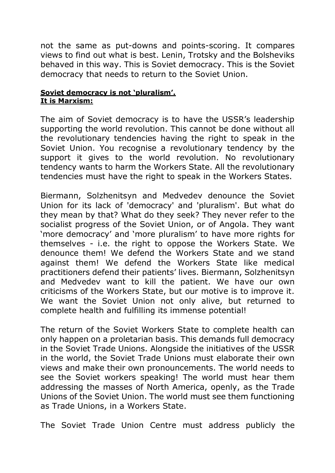not the same as put-downs and points-scoring. It compares views to find out what is best. Lenin, Trotsky and the Bolsheviks behaved in this way. This is Soviet democracy. This is the Soviet democracy that needs to return to the Soviet Union.

#### **Soviet democracy is not 'pluralism'. It is Marxism:**

The aim of Soviet democracy is to have the USSR's leadership supporting the world revolution. This cannot be done without all the revolutionary tendencies having the right to speak in the Soviet Union. You recognise a revolutionary tendency by the support it gives to the world revolution. No revolutionary tendency wants to harm the Workers State. All the revolutionary tendencies must have the right to speak in the Workers States.

Biermann, Solzhenitsyn and Medvedev denounce the Soviet Union for its lack of 'democracy' and 'pluralism'. But what do they mean by that? What do they seek? They never refer to the socialist progress of the Soviet Union, or of Angola. They want 'more democracy' and 'more pluralism' to have more rights for themselves - i.e. the right to oppose the Workers State. We denounce them! We defend the Workers State and we stand against them! We defend the Workers State like medical practitioners defend their patients' lives. Biermann, Solzhenitsyn and Medvedev want to kill the patient. We have our own criticisms of the Workers State, but our motive is to improve it. We want the Soviet Union not only alive, but returned to complete health and fulfilling its immense potential!

The return of the Soviet Workers State to complete health can only happen on a proletarian basis. This demands full democracy in the Soviet Trade Unions. Alongside the initiatives of the USSR in the world, the Soviet Trade Unions must elaborate their own views and make their own pronouncements. The world needs to see the Soviet workers speaking! The world must hear them addressing the masses of North America, openly, as the Trade Unions of the Soviet Union. The world must see them functioning as Trade Unions, in a Workers State.

The Soviet Trade Union Centre must address publicly the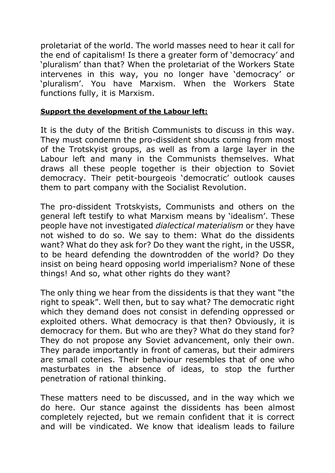proletariat of the world. The world masses need to hear it call for the end of capitalism! Is there a greater form of 'democracy' and 'pluralism' than that? When the proletariat of the Workers State intervenes in this way, you no longer have 'democracy' or 'pluralism'. You have Marxism. When the Workers State functions fully, it is Marxism.

## **Support the development of the Labour left:**

It is the duty of the British Communists to discuss in this way. They must condemn the pro-dissident shouts coming from most of the Trotskyist groups, as well as from a large layer in the Labour left and many in the Communists themselves. What draws all these people together is their objection to Soviet democracy. Their petit-bourgeois 'democratic' outlook causes them to part company with the Socialist Revolution.

The pro-dissident Trotskyists, Communists and others on the general left testify to what Marxism means by 'idealism'. These people have not investigated *dialectical materialism* or they have not wished to do so. We say to them: What do the dissidents want? What do they ask for? Do they want the right, in the USSR, to be heard defending the downtrodden of the world? Do they insist on being heard opposing world imperialism? None of these things! And so, what other rights do they want?

The only thing we hear from the dissidents is that they want "the right to speak". Well then, but to say what? The democratic right which they demand does not consist in defending oppressed or exploited others. What democracy is that then? Obviously, it is democracy for them. But who are they? What do they stand for? They do not propose any Soviet advancement, only their own. They parade importantly in front of cameras, but their admirers are small coteries. Their behaviour resembles that of one who masturbates in the absence of ideas, to stop the further penetration of rational thinking.

These matters need to be discussed, and in the way which we do here. Our stance against the dissidents has been almost completely rejected, but we remain confident that it is correct and will be vindicated. We know that idealism leads to failure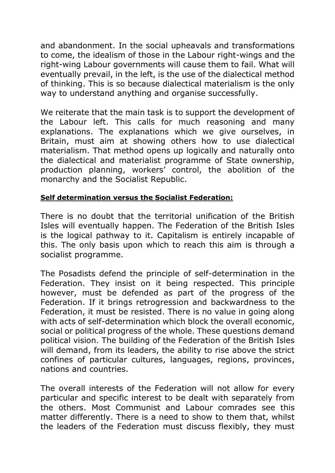and abandonment. In the social upheavals and transformations to come, the idealism of those in the Labour right-wings and the right-wing Labour governments will cause them to fail. What will eventually prevail, in the left, is the use of the dialectical method of thinking. This is so because dialectical materialism is the only way to understand anything and organise successfully.

We reiterate that the main task is to support the development of the Labour left. This calls for much reasoning and many explanations. The explanations which we give ourselves, in Britain, must aim at showing others how to use dialectical materialism. That method opens up logically and naturally onto the dialectical and materialist programme of State ownership, production planning, workers' control, the abolition of the monarchy and the Socialist Republic.

# **Self determination versus the Socialist Federation:**

There is no doubt that the territorial unification of the British Isles will eventually happen. The Federation of the British Isles is the logical pathway to it. Capitalism is entirely incapable of this. The only basis upon which to reach this aim is through a socialist programme.

The Posadists defend the principle of self-determination in the Federation. They insist on it being respected. This principle however, must be defended as part of the progress of the Federation. If it brings retrogression and backwardness to the Federation, it must be resisted. There is no value in going along with acts of self-determination which block the overall economic, social or political progress of the whole. These questions demand political vision. The building of the Federation of the British Isles will demand, from its leaders, the ability to rise above the strict confines of particular cultures, languages, regions, provinces, nations and countries.

The overall interests of the Federation will not allow for every particular and specific interest to be dealt with separately from the others. Most Communist and Labour comrades see this matter differently. There is a need to show to them that, whilst the leaders of the Federation must discuss flexibly, they must